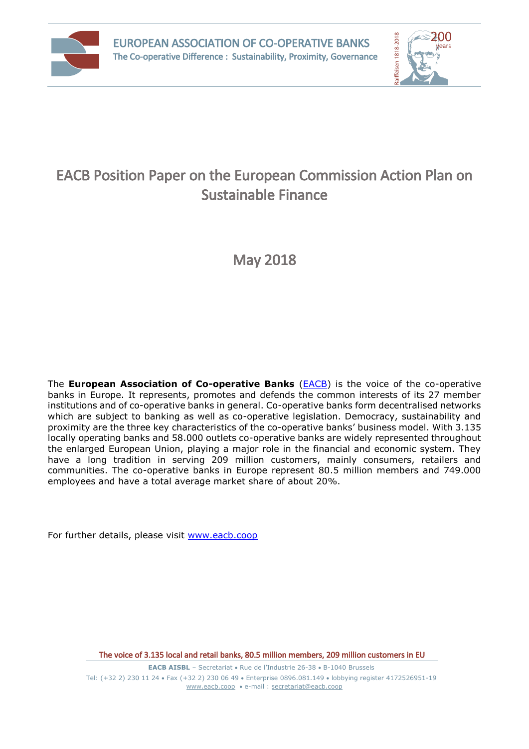



# EACB Position Paper on the European Commission Action Plan on Sustainable Finance

May 2018

The **European Association of Co-operative Banks** (**EACB**) is the voice of the co-operative banks in Europe. It represents, promotes and defends the common interests of its 27 member institutions and of co-operative banks in general. Co-operative banks form decentralised networks which are subject to banking as well as co-operative legislation. Democracy, sustainability and proximity are the three key characteristics of the co-operative banks' business model. With 3.135 locally operating banks and 58.000 outlets co-operative banks are widely represented throughout the enlarged European Union, playing a major role in the financial and economic system. They have a long tradition in serving 209 million customers, mainly consumers, retailers and communities. The co-operative banks in Europe represent 80.5 million members and 749.000 employees and have a total average market share of about 20%.

For further details, please visit [www.eacb.coop](http://www.eacb.coop/)

The voice of 3.135 local and retail banks, 80.5 million members, 209 million customers in EU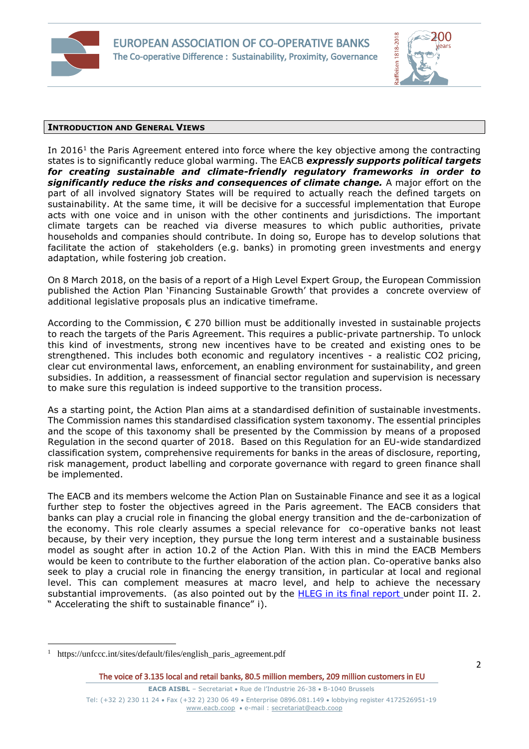



### **INTRODUCTION AND GENERAL VIEWS**

In  $2016<sup>1</sup>$  the Paris Agreement entered into force where the key objective among the contracting states is to significantly reduce global warming. The EACB *expressly supports political targets for creating sustainable and climate-friendly regulatory frameworks in order to significantly reduce the risks and consequences of climate change.* A major effort on the part of all involved signatory States will be required to actually reach the defined targets on sustainability. At the same time, it will be decisive for a successful implementation that Europe acts with one voice and in unison with the other continents and jurisdictions. The important climate targets can be reached via diverse measures to which public authorities, private households and companies should contribute. In doing so, Europe has to develop solutions that facilitate the action of stakeholders (e.g. banks) in promoting green investments and energy adaptation, while fostering job creation.

On 8 March 2018, on the basis of a report of a High Level Expert Group, the European Commission published the Action Plan 'Financing Sustainable Growth' that provides a concrete overview of additional legislative proposals plus an indicative timeframe.

According to the Commission, € 270 billion must be additionally invested in sustainable projects to reach the targets of the Paris Agreement. This requires a public-private partnership. To unlock this kind of investments, strong new incentives have to be created and existing ones to be strengthened. This includes both economic and regulatory incentives - a realistic CO2 pricing, clear cut environmental laws, enforcement, an enabling environment for sustainability, and green subsidies. In addition, a reassessment of financial sector regulation and supervision is necessary to make sure this regulation is indeed supportive to the transition process.

As a starting point, the Action Plan aims at a standardised definition of sustainable investments. The Commission names this standardised classification system taxonomy. The essential principles and the scope of this taxonomy shall be presented by the Commission by means of a proposed Regulation in the second quarter of 2018. Based on this Regulation for an EU-wide standardized classification system, comprehensive requirements for banks in the areas of disclosure, reporting, risk management, product labelling and corporate governance with regard to green finance shall be implemented.

The EACB and its members welcome the Action Plan on Sustainable Finance and see it as a logical further step to foster the objectives agreed in the Paris agreement. The EACB considers that banks can play a crucial role in financing the global energy transition and the de-carbonization of the economy. This role clearly assumes a special relevance for co-operative banks not least because, by their very inception, they pursue the long term interest and a sustainable business model as sought after in action 10.2 of the Action Plan. With this in mind the EACB Members would be keen to contribute to the further elaboration of the action plan. Co-operative banks also seek to play a crucial role in financing the energy transition, in particular at local and regional level. This can complement measures at macro level, and help to achieve the necessary substantial improvements. (as also pointed out by the [HLEG in its final report](https://ec.europa.eu/info/sites/info/files/180131-sustainable-finance-final-report_en.pdf) under point II. 2. " Accelerating the shift to sustainable finance" i).

 $\overline{a}$ 

<sup>1</sup> https://unfccc.int/sites/default/files/english\_paris\_agreement.pdf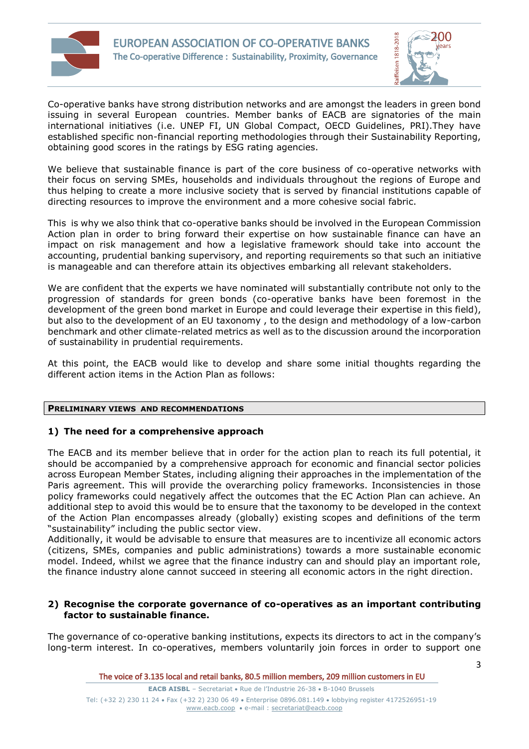



Co-operative banks have strong distribution networks and are amongst the leaders in green bond issuing in several European countries. Member banks of EACB are signatories of the main international initiatives (i.e. UNEP FI, UN Global Compact, OECD Guidelines, PRI).They have established specific non-financial reporting methodologies through their Sustainability Reporting, obtaining good scores in the ratings by ESG rating agencies.

We believe that sustainable finance is part of the core business of co-operative networks with their focus on serving SMEs, households and individuals throughout the regions of Europe and thus helping to create a more inclusive society that is served by financial institutions capable of directing resources to improve the environment and a more cohesive social fabric.

This is why we also think that co-operative banks should be involved in the European Commission Action plan in order to bring forward their expertise on how sustainable finance can have an impact on risk management and how a legislative framework should take into account the accounting, prudential banking supervisory, and reporting requirements so that such an initiative is manageable and can therefore attain its objectives embarking all relevant stakeholders.

We are confident that the experts we have nominated will substantially contribute not only to the progression of standards for green bonds (co-operative banks have been foremost in the development of the green bond market in Europe and could leverage their expertise in this field), but also to the development of an EU taxonomy , to the design and methodology of a low-carbon benchmark and other climate-related metrics as well as to the discussion around the incorporation of sustainability in prudential requirements.

At this point, the EACB would like to develop and share some initial thoughts regarding the different action items in the Action Plan as follows:

## **PRELIMINARY VIEWS AND RECOMMENDATIONS**

# **1) The need for a comprehensive approach**

The EACB and its member believe that in order for the action plan to reach its full potential, it should be accompanied by a comprehensive approach for economic and financial sector policies across European Member States, including aligning their approaches in the implementation of the Paris agreement. This will provide the overarching policy frameworks. Inconsistencies in those policy frameworks could negatively affect the outcomes that the EC Action Plan can achieve. An additional step to avoid this would be to ensure that the taxonomy to be developed in the context of the Action Plan encompasses already (globally) existing scopes and definitions of the term "sustainability" including the public sector view.

Additionally, it would be advisable to ensure that measures are to incentivize all economic actors (citizens, SMEs, companies and public administrations) towards a more sustainable economic model. Indeed, whilst we agree that the finance industry can and should play an important role, the finance industry alone cannot succeed in steering all economic actors in the right direction.

## **2) Recognise the corporate governance of co-operatives as an important contributing factor to sustainable finance.**

The governance of co-operative banking institutions, expects its directors to act in the company's long-term interest. In co-operatives, members voluntarily join forces in order to support one

The voice of 3.135 local and retail banks, 80.5 million members, 209 million customers in EU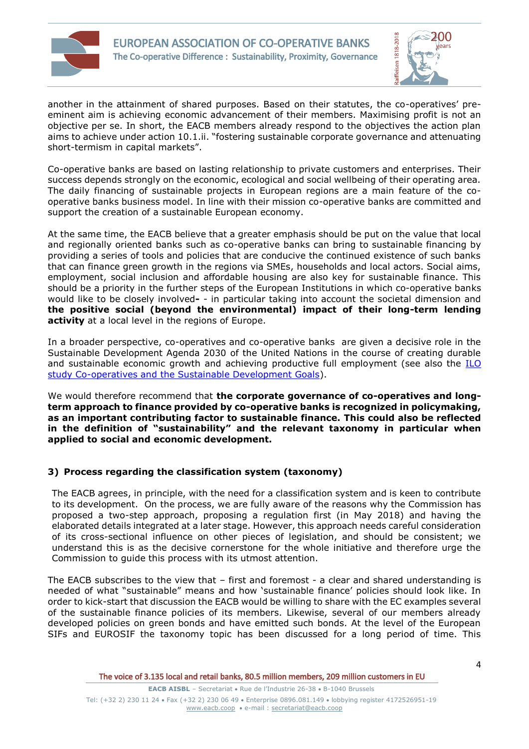



another in the attainment of shared purposes. Based on their statutes, the co-operatives' preeminent aim is achieving economic advancement of their members. Maximising profit is not an objective per se. In short, the EACB members already respond to the objectives the action plan aims to achieve under action 10.1.ii. "fostering sustainable corporate governance and attenuating short-termism in capital markets".

Co-operative banks are based on lasting relationship to private customers and enterprises. Their success depends strongly on the economic, ecological and social wellbeing of their operating area. The daily financing of sustainable projects in European regions are a main feature of the cooperative banks business model. In line with their mission co-operative banks are committed and support the creation of a sustainable European economy.

At the same time, the EACB believe that a greater emphasis should be put on the value that local and regionally oriented banks such as co-operative banks can bring to sustainable financing by providing a series of tools and policies that are conducive the continued existence of such banks that can finance green growth in the regions via SMEs, households and local actors. Social aims, employment, social inclusion and affordable housing are also key for sustainable finance. This should be a priority in the further steps of the European Institutions in which co-operative banks would like to be closely involved**-** - in particular taking into account the societal dimension and **the positive social (beyond the environmental) impact of their long-term lending activity** at a local level in the regions of Europe.

In a broader perspective, co-operatives and co-operative banks are given a decisive role in the Sustainable Development Agenda 2030 of the United Nations in the course of creating durable and sustainable economic growth and achieving productive full employment (see also the ILO [study Co-operatives and the Sustainable Development Goals\)](https://sustainabledevelopment.un.org/content/documents/1247ilo.pdf).

We would therefore recommend that **the corporate governance of co-operatives and longterm approach to finance provided by co-operative banks is recognized in policymaking, as an important contributing factor to sustainable finance. This could also be reflected in the definition of "sustainability" and the relevant taxonomy in particular when applied to social and economic development.** 

# **3) Process regarding the classification system (taxonomy)**

The EACB agrees, in principle, with the need for a classification system and is keen to contribute to its development. On the process, we are fully aware of the reasons why the Commission has proposed a two-step approach, proposing a regulation first (in May 2018) and having the elaborated details integrated at a later stage. However, this approach needs careful consideration of its cross-sectional influence on other pieces of legislation, and should be consistent; we understand this is as the decisive cornerstone for the whole initiative and therefore urge the Commission to guide this process with its utmost attention.

The EACB subscribes to the view that – first and foremost - a clear and shared understanding is needed of what "sustainable" means and how 'sustainable finance' policies should look like. In order to kick-start that discussion the EACB would be willing to share with the EC examples several of the sustainable finance policies of its members. Likewise, several of our members already developed policies on green bonds and have emitted such bonds. At the level of the European SIFs and EUROSIF the taxonomy topic has been discussed for a long period of time. This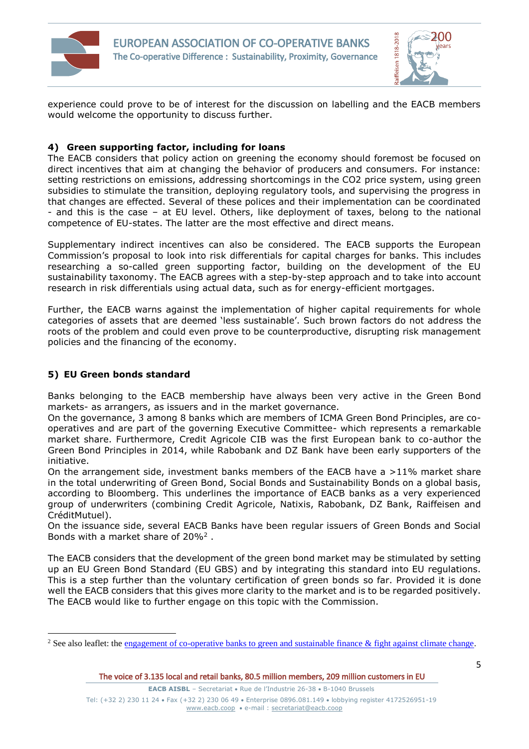



experience could prove to be of interest for the discussion on labelling and the EACB members would welcome the opportunity to discuss further.

# **4) Green supporting factor, including for loans**

The EACB considers that policy action on greening the economy should foremost be focused on direct incentives that aim at changing the behavior of producers and consumers. For instance: setting restrictions on emissions, addressing shortcomings in the CO2 price system, using green subsidies to stimulate the transition, deploying regulatory tools, and supervising the progress in that changes are effected. Several of these polices and their implementation can be coordinated - and this is the case – at EU level. Others, like deployment of taxes, belong to the national competence of EU-states. The latter are the most effective and direct means.

Supplementary indirect incentives can also be considered. The EACB supports the European Commission's proposal to look into risk differentials for capital charges for banks. This includes researching a so-called green supporting factor, building on the development of the EU sustainability taxonomy. The EACB agrees with a step-by-step approach and to take into account research in risk differentials using actual data, such as for energy-efficient mortgages.

Further, the EACB warns against the implementation of higher capital requirements for whole categories of assets that are deemed 'less sustainable'. Such brown factors do not address the roots of the problem and could even prove to be counterproductive, disrupting risk management policies and the financing of the economy.

# **5) EU Green bonds standard**

 $\overline{a}$ 

Banks belonging to the EACB membership have always been very active in the Green Bond markets- as arrangers, as issuers and in the market governance.

On the governance, 3 among 8 banks which are members of ICMA Green Bond Principles, are cooperatives and are part of the governing Executive Committee- which represents a remarkable market share. Furthermore, Credit Agricole CIB was the first European bank to co-author the Green Bond Principles in 2014, while Rabobank and DZ Bank have been early supporters of the initiative.

On the arrangement side, investment banks members of the EACB have a  $>11\%$  market share in the total underwriting of Green Bond, Social Bonds and Sustainability Bonds on a global basis, according to Bloomberg. This underlines the importance of EACB banks as a very experienced group of underwriters (combining Credit Agricole, Natixis, Rabobank, DZ Bank, Raiffeisen and CréditMutuel).

On the issuance side, several EACB Banks have been regular issuers of Green Bonds and Social Bonds with a market share of 20%<sup>2</sup>.

The EACB considers that the development of the green bond market may be stimulated by setting up an EU Green Bond Standard (EU GBS) and by integrating this standard into EU regulations. This is a step further than the voluntary certification of green bonds so far. Provided it is done well the EACB considers that this gives more clarity to the market and is to be regarded positively. The EACB would like to further engage on this topic with the Commission.

<sup>&</sup>lt;sup>2</sup> See also leaflet: the engagement of co-operative banks to green and sustainable finance  $\&$  fight against climate change.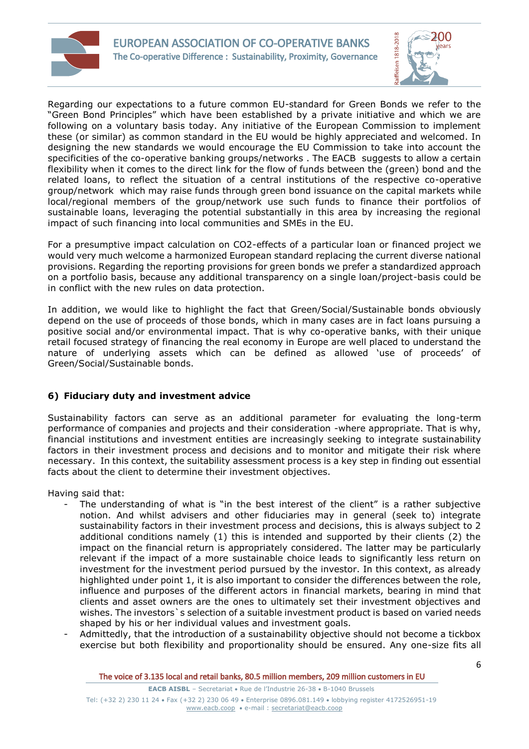



Regarding our expectations to a future common EU-standard for Green Bonds we refer to the "Green Bond Principles" which have been established by a private initiative and which we are following on a voluntary basis today. Any initiative of the European Commission to implement these (or similar) as common standard in the EU would be highly appreciated and welcomed. In designing the new standards we would encourage the EU Commission to take into account the specificities of the co-operative banking groups/networks . The EACB suggests to allow a certain flexibility when it comes to the direct link for the flow of funds between the (green) bond and the related loans, to reflect the situation of a central institutions of the respective co-operative group/network which may raise funds through green bond issuance on the capital markets while local/regional members of the group/network use such funds to finance their portfolios of sustainable loans, leveraging the potential substantially in this area by increasing the regional impact of such financing into local communities and SMEs in the EU.

For a presumptive impact calculation on CO2-effects of a particular loan or financed project we would very much welcome a harmonized European standard replacing the current diverse national provisions. Regarding the reporting provisions for green bonds we prefer a standardized approach on a portfolio basis, because any additional transparency on a single loan/project-basis could be in conflict with the new rules on data protection.

In addition, we would like to highlight the fact that Green/Social/Sustainable bonds obviously depend on the use of proceeds of those bonds, which in many cases are in fact loans pursuing a positive social and/or environmental impact. That is why co-operative banks, with their unique retail focused strategy of financing the real economy in Europe are well placed to understand the nature of underlying assets which can be defined as allowed 'use of proceeds' of Green/Social/Sustainable bonds.

# **6) Fiduciary duty and investment advice**

Sustainability factors can serve as an additional parameter for evaluating the long-term performance of companies and projects and their consideration -where appropriate. That is why, financial institutions and investment entities are increasingly seeking to integrate sustainability factors in their investment process and decisions and to monitor and mitigate their risk where necessary. In this context, the suitability assessment process is a key step in finding out essential facts about the client to determine their investment objectives.

Having said that:

- The understanding of what is "in the best interest of the client" is a rather subjective notion. And whilst advisers and other fiduciaries may in general (seek to) integrate sustainability factors in their investment process and decisions, this is always subject to 2 additional conditions namely (1) this is intended and supported by their clients (2) the impact on the financial return is appropriately considered. The latter may be particularly relevant if the impact of a more sustainable choice leads to significantly less return on investment for the investment period pursued by the investor. In this context, as already highlighted under point 1, it is also important to consider the differences between the role, influence and purposes of the different actors in financial markets, bearing in mind that clients and asset owners are the ones to ultimately set their investment objectives and wishes. The investors`s selection of a suitable investment product is based on varied needs shaped by his or her individual values and investment goals.
- Admittedly, that the introduction of a sustainability objective should not become a tickbox exercise but both flexibility and proportionality should be ensured. Any one-size fits all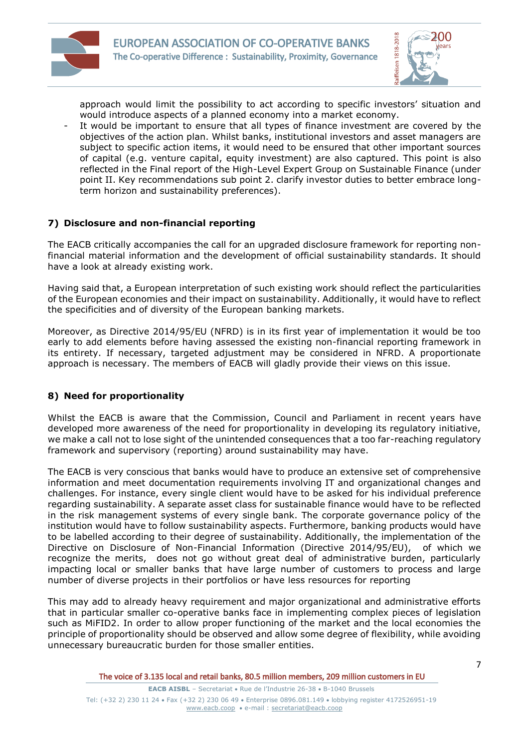



approach would limit the possibility to act according to specific investors' situation and would introduce aspects of a planned economy into a market economy.

It would be important to ensure that all types of finance investment are covered by the objectives of the action plan. Whilst banks, institutional investors and asset managers are subject to specific action items, it would need to be ensured that other important sources of capital (e.g. venture capital, equity investment) are also captured. This point is also reflected in the Final report of the High-Level Expert Group on Sustainable Finance (under point II. Key recommendations sub point 2. clarify investor duties to better embrace longterm horizon and sustainability preferences).

# **7) Disclosure and non-financial reporting**

The EACB critically accompanies the call for an upgraded disclosure framework for reporting nonfinancial material information and the development of official sustainability standards. It should have a look at already existing work.

Having said that, a European interpretation of such existing work should reflect the particularities of the European economies and their impact on sustainability. Additionally, it would have to reflect the specificities and of diversity of the European banking markets.

Moreover, as Directive 2014/95/EU (NFRD) is in its first year of implementation it would be too early to add elements before having assessed the existing non-financial reporting framework in its entirety. If necessary, targeted adjustment may be considered in NFRD. A proportionate approach is necessary. The members of EACB will gladly provide their views on this issue.

# **8) Need for proportionality**

Whilst the EACB is aware that the Commission, Council and Parliament in recent years have developed more awareness of the need for proportionality in developing its regulatory initiative, we make a call not to lose sight of the unintended consequences that a too far-reaching regulatory framework and supervisory (reporting) around sustainability may have.

The EACB is very conscious that banks would have to produce an extensive set of comprehensive information and meet documentation requirements involving IT and organizational changes and challenges. For instance, every single client would have to be asked for his individual preference regarding sustainability. A separate asset class for sustainable finance would have to be reflected in the risk management systems of every single bank. The corporate governance policy of the institution would have to follow sustainability aspects. Furthermore, banking products would have to be labelled according to their degree of sustainability. Additionally, the implementation of the Directive on Disclosure of Non-Financial Information (Directive 2014/95/EU), of which we recognize the merits, does not go without great deal of administrative burden, particularly impacting local or smaller banks that have large number of customers to process and large number of diverse projects in their portfolios or have less resources for reporting

This may add to already heavy requirement and major organizational and administrative efforts that in particular smaller co-operative banks face in implementing complex pieces of legislation such as MiFID2. In order to allow proper functioning of the market and the local economies the principle of proportionality should be observed and allow some degree of flexibility, while avoiding unnecessary bureaucratic burden for those smaller entities.